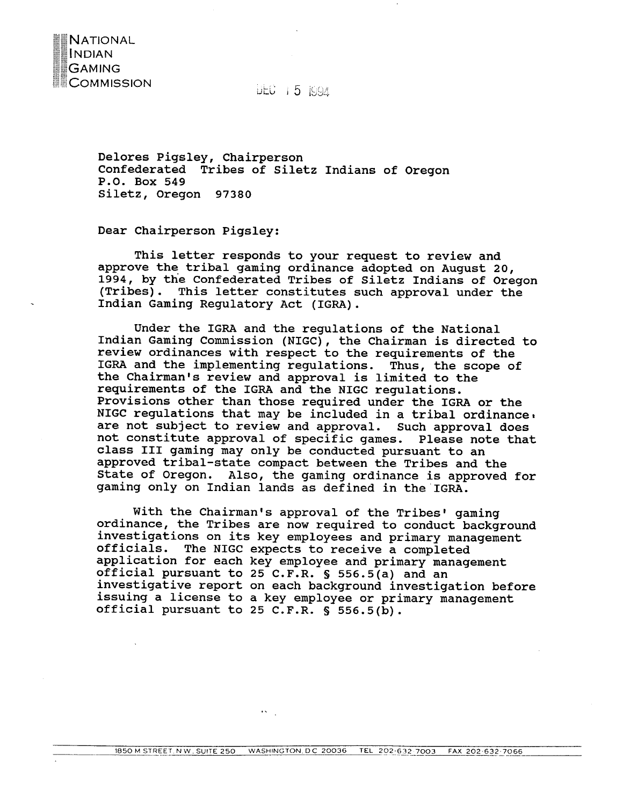

**Delores Pigsley, Chairperson Confederated Tribes of Siletz Indians of Oregon P.O. Box 549 Siletz, Oregon 97380** 

**Dear Chairperson Pigsley:** 

**NATIONAL** INDIAN. **GAMING COMMISSION** 

> **This letter responds to your request to review and approve the tribal gaming ordinance adopted on August 20, 1994, by the Confederated Tribes of Siletz Indians of Oregon (Tribes). This letter constitutes such approval under the Indian Gaming Regulatory Act (IGRA).**

> **Under the IGRA and the regulations of the National 1ndian Gaming Commission (NIGC), the chairman is directed to review ordinances with respect to the requirements of the IGRA and the implementing regulations. Thus, the scope of the Chairman's review and approval is limited to the requirements of the IGRA and the NIGC regulations. Provisions other than those required under the IGRA or the NIGC regulations that may be included in a tribal ordinance1 are not subject to review and approval. Such approval does not constitute approval of specific games. Please note that class I11 gaming may only be conducted pursuant to an approved tribal-state compact between the Tribes and the State of Oregon. Also, the gaming ordinance is approved for gaming only on Indian lands as defined in the'IGRA.**

> With the Chairman's approval of the Tribes' gaming **ordinance, the ~ribes are now required to conduct background investigations on its key employees and primary management officials. The NIGC expects to receive a completed application for each key employee and primary management official pursuant to 25 C.F.R.** \$ **556.5(a) and an investigative report on each background investigation before issuing a license to a key employee or primary management official pursuant to 25 C.F.R.** \$ **556.5(b).**

 $\ddotsc$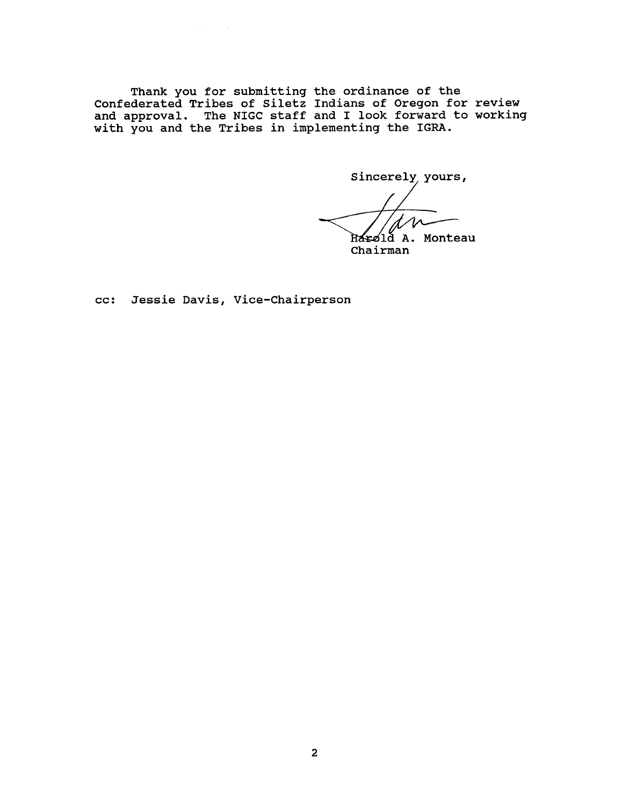**Thank you for submitting the ordinance of the Confederated Tribes of Siletz Indians of Oregon for review and approval. The NIGC staff and I look forward to working with you and the Tribes in implementing the IGRA.** 

Sincerely, yours,

Harold A. Monteau<br>Chairman

**cc: Jessie Davis, Vice-Chairperson** 

 $\alpha$  ,  $\gamma$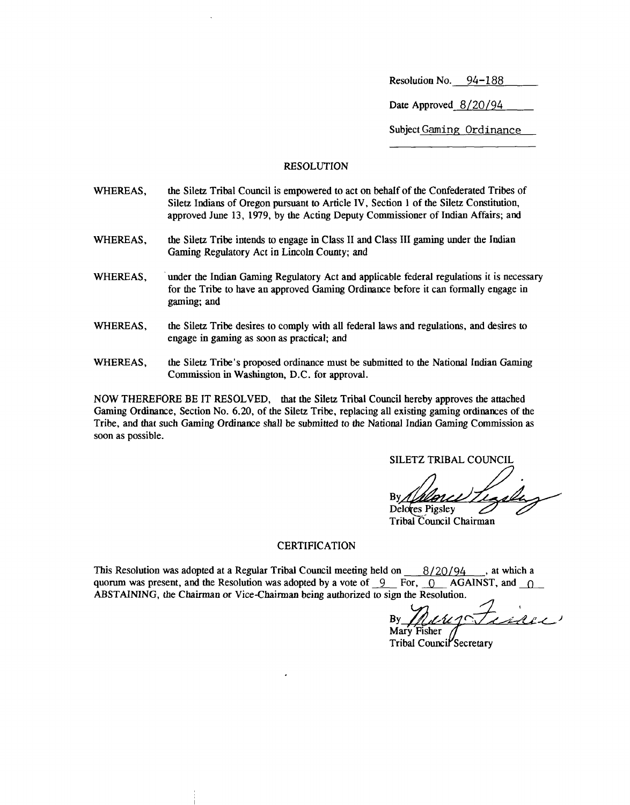Resolution No. 94-188

Date Approved 8/20/94

Subject Gaming Ordinance

#### RESOLUTION

- WHEREAS, the Siletz Tribal Council is empowered to act on behalf of the Confederated Tribes of Siletz Indians of Oregon pursuant to Article IV, Section 1 of the Siletz Constitution, approved June 13, 1979, by the Acting Deputy Commissioner of Indian Affairs; and
- WHEREAS, the Siletz Tribe intends to engage in Class II and Class III gaming under the Indian Gaming Regulatory Act in Lincoln County; and
- WHEREAS, under the Indian Gaming Regulatory Act and applicable federal regulations it is necessary for the Tribe to have an approved Gaming Ordinance before it can formally engage in gaming; and
- WHEREAS, the Siletz Tribe desires to comply with all federal laws and regulations, and desires to engage in gaming as soon as practical; and
- WHEREAS, the Siletz Tribe's proposed ordinance must be submitted to the National Indian Gaming Commission in Washington, D.C. for approval.

NOW THEREFORE BE IT RESOLVED, that the Siletz Tribal Council hereby approves the attached Gaming Ordinance, Section No. 6.20, of the Siletz Tribe, replacing all existing gaming ordinances of the Tribe, and that such Gaming Ordinance shall be submitted to the National Indian Gaming Commission as soon as possible.

SILETZ TRIBAL COUNCIL

Delores Pigsley

# Tribal Council Chairman

#### **CERTIFICATION**

This Resolution was adopted at a Regular Tribal Council meeting held on 8/20/94 , at which a quorum was present, and the Resolution was adopted by a vote of  $\,9\quad$  For,  $\,0\quad$  AGAINST, and  $\,0\quad$ ABSTAINING, the Chairman or Vice-Chairman being authorized to sign the Resolution.

Tribal Council Secretary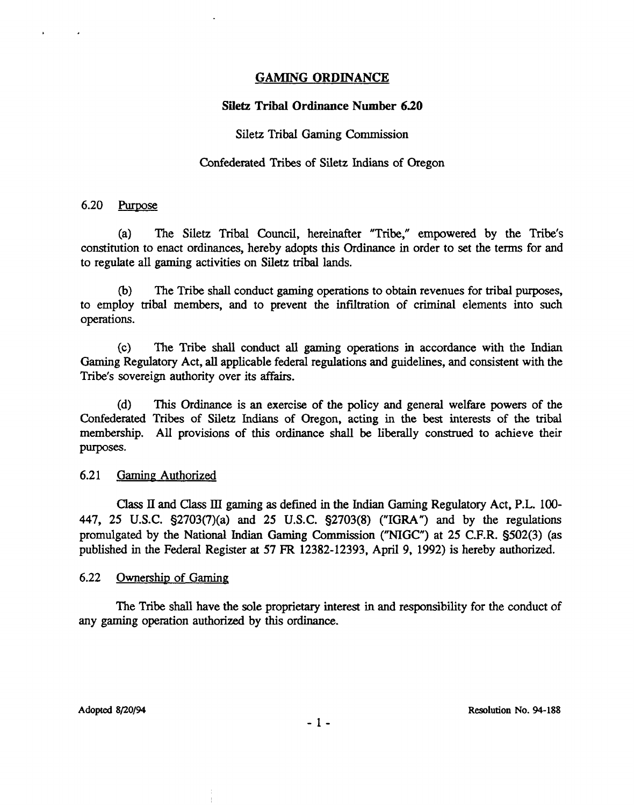#### **GAMING ORDINANCE**

### **Siletz Tribal Ordinance Number 6.20**

## Siletz Tribal Gaming Commission

#### Confederated Tribes of Siletz Indians of Oregon

#### $6.20$ Purpose

 $\ddot{\phantom{1}}$ 

(a) The Siletz Tribal Council, hereinafter "Tribe," empowered by the Tribe's constitution to enact ordinances, hereby adopts this Ordinance in order to set the terms for and to regulate all gaming activities on Siletz tribal lands.

(b) The Tribe shall conduct gaming operations to obtain revenues for tribal purposes, to employ tribal members, and to prevent the infiltration of criminal elements into such operations.

(c) The Tribe **shall** conduct **all** gaming operations in accordance with the Indian Gaming Regulatory Act, all applicable federal regulations and guidelines, and consistent with the Tribe's sovereign authority over its affairs.

(d) **This** Ordinance is an exercise of the policy and general welfare powers of the Confederated Tribes of Siletz **Indians** of Oregon, acting in **the** best interests of the tribal membership. All provisions of this ordinance shall be liberally construed to achieve their purposes.

#### 6.21 Gaming Authorized

Class **I1** and Class **III** gaming as defined in the Indian Gaming Regulatory Act, **P.L.** 100- 447, 25 **U.S.C.** §2703(7)(a) and 25 U.S.C. §2703(8) **("IGRA")** and by the regulations promulgated by the National Indian **Gaming** Commission **("NIGC")** at 25 **C.F.R.** §502(3) (as published in the Federal Register at 57 **FR** 12382-12393, April 9, 1992) is hereby authorized.

#### 6.22 Ownership of Gaming

The Tribe shall have the sole proprietary interest in and responsibility for the conduct of any gaming operation authorized by this ordinance.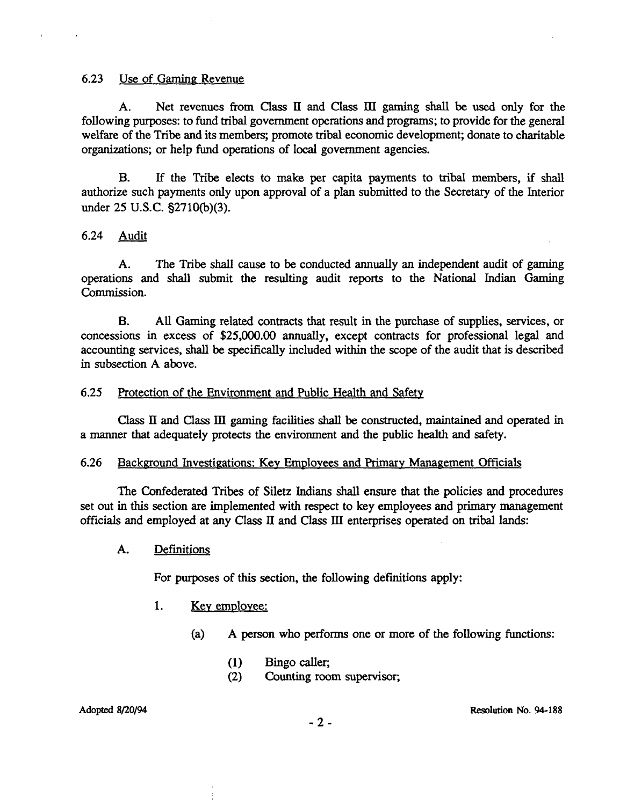#### 6.23 Use of Gaming Revenue

**A.** Net revenues from **Class II** and **Class III** gaming **shall** be **used** only for the following purposes: to fund tribal government operations and programs; to provide for the general welfare of the Tribe and its members; promote tribal economic development; donate to charitable organizations; or help fund operations of local government agencies.

B. If the Tribe elects to make per capita payments to tribal members, if shall authorize such payments only upon approval of a plan submitted to the Secretary of the Interior under 25 U.S.C. **§2710(b)(3).** 

#### 6.24 Audit

A. The Tribe shall cause to be conducted annually an independent audit of gaming operations and shall submit the resulting audit reports to the National Indian Gaming Commission.

**B.** All **Gaming** related contracts that result in the purchase of supplies, services, or concessions in excess of \$25,000.00 annually, except contracts for professional legal and accounting services, shall be specifically included within the scope of the audit that is described in subsection A above.

#### 6.25 Protection of the Environment and Public Health and Safety

**Class Il** and **Class** III gaming facilities shall be constructed, maintained and operated in a manner that adequately protects the environment and the public health and safety.

#### 6.26 Background Investigations: Key Employees and Primary Management Officials

The Confederated Tribes of Siletz Indians shall ensure that the policies and procedures set out in this section are implemented with respect to key employees and primary management officials and employed at any Class **II** and Class **III** enterprises operated on tribal lands:

A. Definitions

For purposes of this section, the following definitions apply:

- 1. Key employee:
	- (a) A person who performs one or more of the following functions:
		- (1) Bingo caller;
		- (2) Counting room supervisor;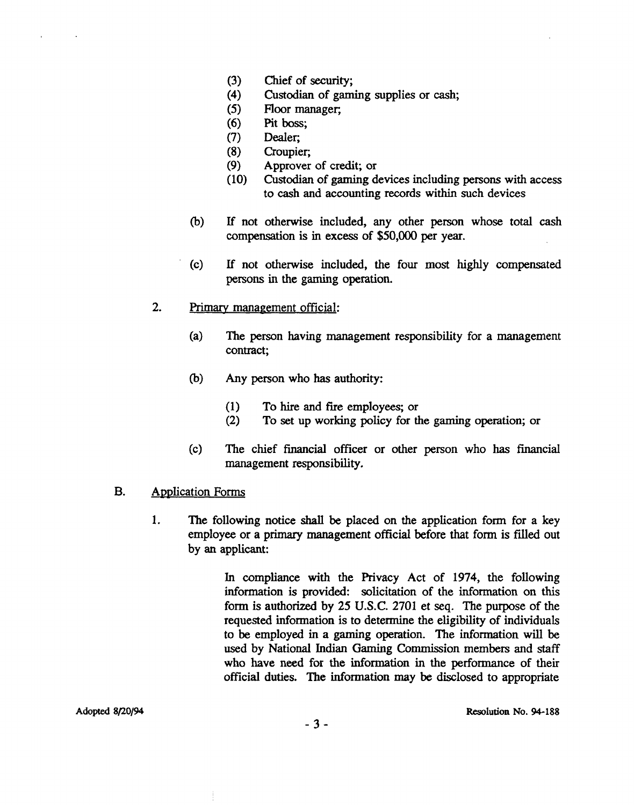- $(3)$ Chief of security;
- Custodian of gaming supplies or cash;  $(4)$
- $(5)$ Floor manager;
- Pit **boss;**   $(6)$
- $(7)$ Dealer;
- Croupier,  $(8)$
- $(9)$ Approver of credit; or
- Custodian of gaming devices including persons with access  $(10)$ to cash and accounting records within such devices
- **(b)** If not otherwise included, any other person whose total cash compensation is in excess of \$50,000 per year.
- (c) If not otherwise included, the four most highly compensated persons in the gaming operation.
- 2. **Primary** management official:
	- (a) The person having management responsibility for a management contract;
	- **(b)** Any person who has authority:
		- (1) To hire and fire employees; or<br>(2) To set up working policy for the
		- **(2)** To set up working policy for the gaming operation; or
	- (c) The chief financial officer or other person who has financial management responsibility.

#### B. Application Forms

1. The following notice shall be placed on the application form for a key employee or a primary management official before that form is filled out by an applicant:

> In compliance with the Privacy Act of 1974, the following information is provided: solicitation of the information on this form is authorized by 25 **U.S.C.** 2701 et seq. The purpose of the requested information is to determine the eligibility of individuals to be employed in a gaming operation. The information will be used by National Indian Gaming Commission members and staff who have need for the information in the performance of their official duties. The information may be disclosed to appropriate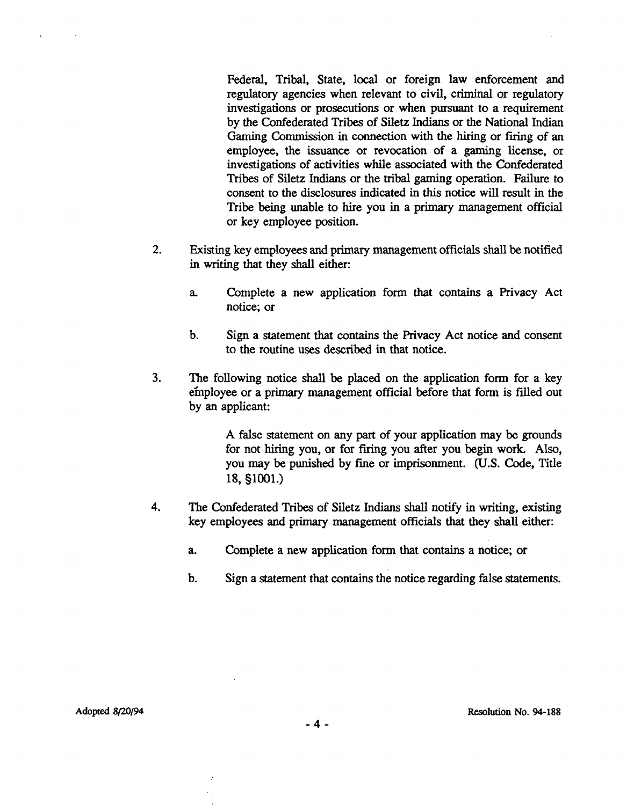Federal, Tribal, State, local or foreign law enforcement and regulatory agencies when relevant to civil, criminal or regulatory investigations or prosecutions or when pursuant to a requirement by the Confederated Tribes of Siletz Indians or the National Indian Gaming Commission in connection with the hiring or firing of an employee, the issuance or revocation of a gaming license, or investigations of activities while associated with the Confederated Tribes of Siletz Indians or the tribal gaming operation. Failure to consent to the disclosures indicated in this notice will result in the Tribe being unable to hire you in a primary management official or key employee position.

- 2. **Existing** key employees and primary management officials shall be notified in writing that they shall either:
	- **a.** Complete a new application form that contains a Privacy Act notice; or
	- b. Sign a statement that contains the Privacy Act notice and consent to the routine uses described in that notice.
- **3.** The .following notice shall be placed on the application form for a key e'mployee or a primary management official before that form is filled out by an applicant:

A false statement on any part of your application may be grounds for not hiring you, or for firing you after you begin work Also, you may be punished by fine or imprisonment. (U.S. Code, Title 18, §1001.)

- **4.** The Confederated Tribes of Siletz Indians shall notify in writing, existing key employees and primary management officials that they shall either:
	- **a.** Complete a new application form that contains a notice; or
	- b. Sign a statement that contains the notice regarding false statements.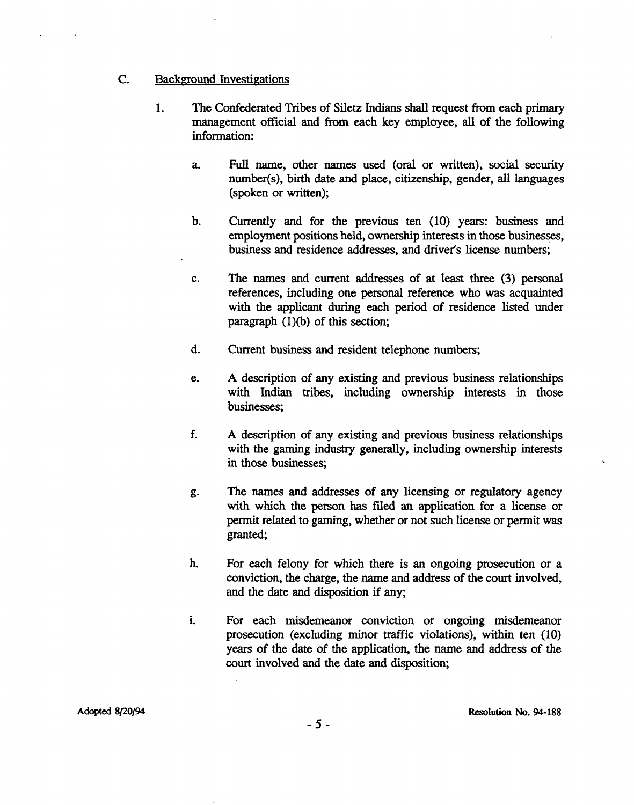#### C. Background Investigations

- 1. The Confederated Tribes of Siletz Indians shall request from each primary management official and from each key employee, **all** of the following information:
	- a. **Full** name, other names used (oral or written), social security number(s), birth date and place, citizenship, gender, all languages (spoken or written);
	- b. Currently and for the previous ten (10) years: business and employment positions held, ownership interests in those businesses, business and residence addresses, and driver's license numbers;
	- c. The names and current addresses of at least three (3) personal references, including one personal reference who was acquainted with the applicant during each period of residence listed under paragraph  $(1)(b)$  of this section;
	- **d.** Current business and resident telephone numbers;
	- e. A description of any existing and previous business relationships with Indian tribes, including ownership interests in those businesses;
	- **f.** A description of any existing and previous business relationships with the gaming industry generally, including ownership interests in those businesses;
	- g. The names and addresses of any licensing or regulatory agency with which the person has filed an application for a license or permit related to gaming, whether or not such license or permit was granted;
	- h. For each felony for which there is an ongoing prosecution or a conviction, the charge, the name and address of the court involved, and the date and disposition if any;
	- 1. For each misdemeanor conviction or ongoing misdemeanor prosecution (excluding minor traffic violations), within ten (10) years of the date of the application, the name and address of the court involved and the date and disposition;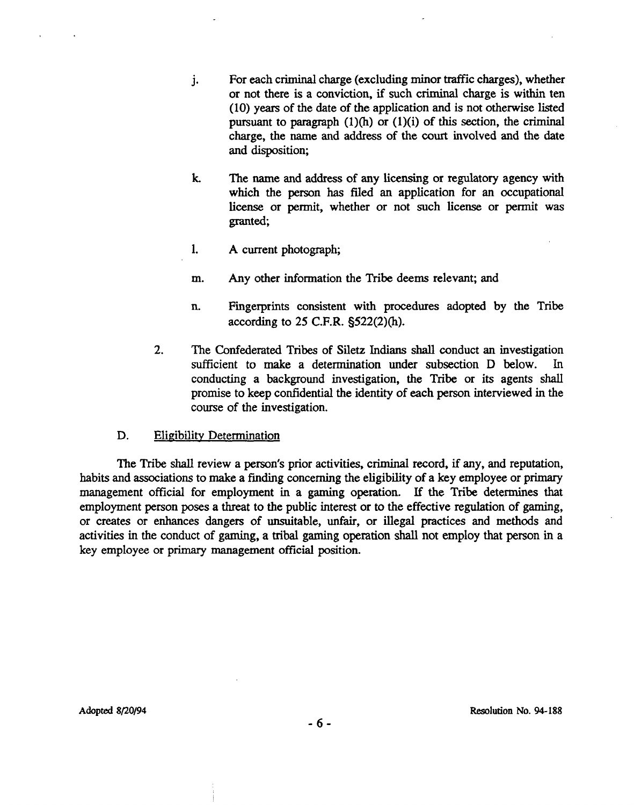- **j.** For each criminal charge (excluding minor traffic charges), whether or not there is a conviction, if such criminal charge is within ten (10) years of the date of the application and is not otherwise listed pursuant to paragraph  $(1)(h)$  or  $(1)(i)$  of this section, the criminal charge, the name and address of the court involved and the date and disposition;
- **k** The name and address of any **licensing** or regulatory agency with which the person has filed an application for an occupational license or permit, whether or not such license or permit was granted;
- 1. A current photograph;
- m. Any other information the Tribe deems relevant; and
- n. Fingerprints consistent with procedures adopted by the Tribe according to 25 **C.F.R.** §522(2)(h).
- **2.** The Confederated Tribes of Siletz Indians shall conduct an investigation sufficient to make a determination under subsection D below. In conducting a background investigation, the Tribe or its agents shall promise to keep confidential the identity of each person interviewed in the course of the investigation.

#### D. Eligibility Determination

The Tribe shall review a person's prior activities, criminal record, if any, and reputation, habits and associations to make a finding concerning the eligibility of a key employee or primary management official for employment in a gaming operation. If the Tribe determines that employment person poses a threat to the public interest or to the effective regulation of gaming, or creates or enhances dangers of unsuitable, unfair, or illegal practices and methods and activities in the conduct of gaming, a tribal gaming opention shall not employ that person in a key employee or primary management official position.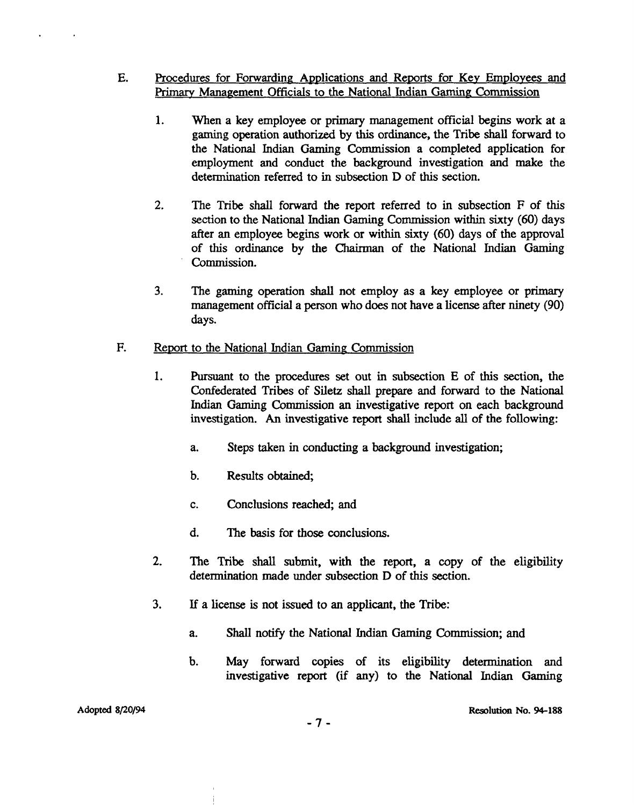- **E.** Procedures for Forwarding Applications and Reports for Key Employees and **Prirnarv** Management Officials to the National Indian Gaming; Commission
	- **1.** When a key employee or primary management official begins work at a **gaming** operation authorized by this ordinance, the Tribe shall forward to the National Indian Gaming Commission a completed application for employment and conduct the background investigation and make the determination referred to in subsection D of this section.
	- 2. The Tribe shall forward the report referred to in subsection F of this section to the National Indian Gaming Commission within sixty (60) days after an employee **begins** work or within sixty (60) days of the approval of this ordinance by the Chairman of the National Indian Gaming Commission.
	- **3.** The gaming operation shall not employ as a **key** employee or primary management official a person who does not have a license after ninety (90) days.

#### F. **Report to the National Indian Gaming Commission**

- 1. Pursuant to the procedures set out in subsection E of this section, the Confederated Tribes of Siletz shall prepare and forward to the National Indian Gaming Commission an investigative report on each background investigation. An investigative report shall include all of the following:
	- a. Steps taken in conducting a background investigation;
	- b. Results obtained;
	- c. Conclusions reached; and
	- d. The basis for those conclusions.
- **2.** The Tribe shall submit, with the report, a copy of the eligibility determination made under subsection D of this section.
- **3. If** a license is not issued to an applicant, the **Tribe:** 
	- a. Shall notify the National Indian Gaming Commission; and
	- b. May forward copies of its eligibility determination and investigative report (if any) to the National Indian Gaming

#### **Adopted 8120194**

 $\ddot{\phantom{a}}$ 

 $\bullet$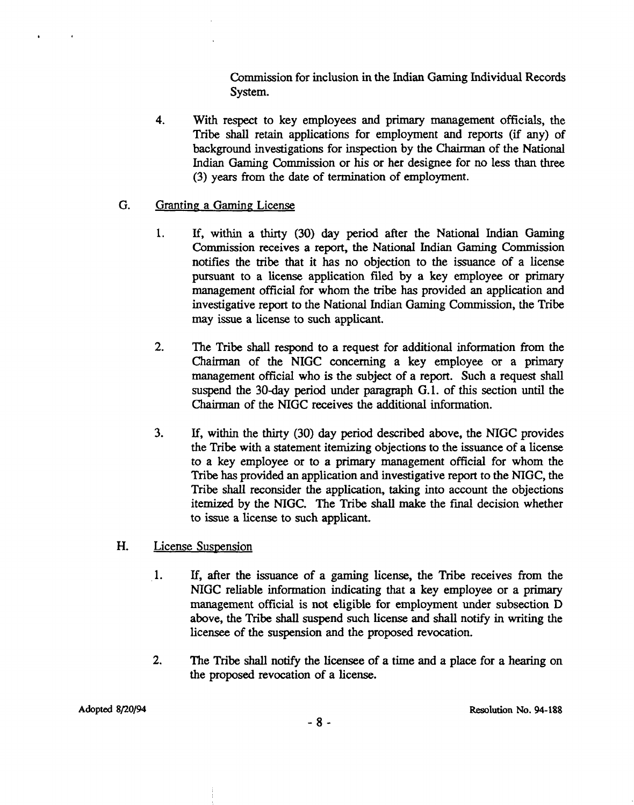Commission for inclusion in the Indian Gaming Individual Records System.

**4.** With respect to key employees and primary management officials, the Tribe shall retain applications for employment and reports (if any) of background investigations for inspection by the Chairman of the National Indian Gaming Commission or his or her designee for no less than three (3) years from the date of termination of employment.

#### G. Granting a Gaming License

 $\ddot{\phantom{a}}$ 

- 1. If, within a thirty (30) day period after the National Indian Gaming Commission receives a report, the National Indian Gaming Commission notifies the tribe that it has no objection to the issuance of a license pursuant to a license application **filed** by a key employee or primary management official for whom the tribe has provided an application and investigative report to the National Indian Gaming Commission, the Tribe may issue a license to such applicant.
- **2.** The Tribe shall respond to a request for additional information from the Chairman of the NIGC concerning a key employee or a primary management official who is the subject of a report. Such a request shall suspend the 30-day period under paragraph G.1. of this section until the Chairman of the NIGC receives the additional information.
- 3. If, within the thirty (30) day period described above, the NIGC provides the Tribe with a statement itemizing objections to the issuance of a license to a key employee or to a primary management official for whom the Tribe has provided an application and investigative report to the NIGC, the Tribe shall reconsider the application, taking into account the objections itemized by the MGC. The Tribe shall make the **final** decision whether to issue a license to such applicant.
- H. License Suspension
	- 1. If, after the issuance of a gaming license, the Tribe receives from the NIGC reliable information indicating that a key employee or a primary management official is not eligible for employment under subsection D above, the Tribe shall suspend such license and shall notify in writing the licensee of the suspension and the proposed revocation.
	- **2.** The Tribe shall notify the licensee of a time and a place for a hearing on the proposed revocation of a license.